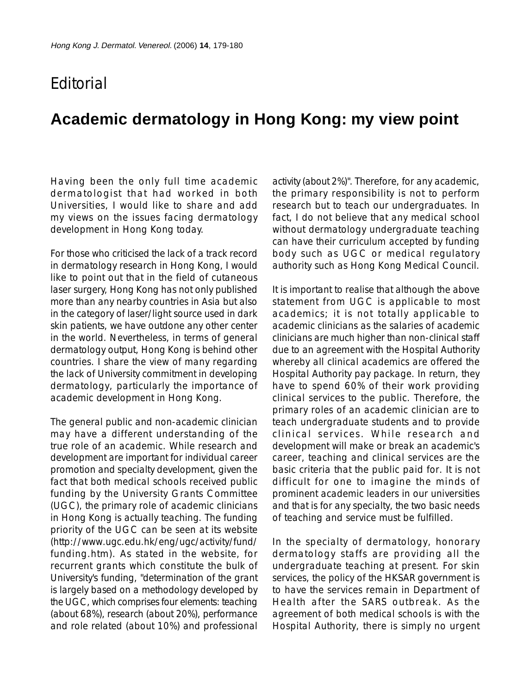## **F**ditorial

## **Academic dermatology in Hong Kong: my view point**

Having been the only full time academic dermatologist that had worked in both Universities, I would like to share and add my views on the issues facing dermatology development in Hong Kong today.

For those who criticised the lack of a track record in dermatology research in Hong Kong, I would like to point out that in the field of cutaneous laser surgery, Hong Kong has not only published more than any nearby countries in Asia but also in the category of laser/light source used in dark skin patients, we have outdone any other center in the world. Nevertheless, in terms of general dermatology output, Hong Kong is behind other countries. I share the view of many regarding the lack of University commitment in developing dermatology, particularly the importance of academic development in Hong Kong.

The general public and non-academic clinician may have a different understanding of the true role of an academic. While research and development are important for individual career promotion and specialty development, given the fact that both medical schools received public funding by the University Grants Committee (UGC), the primary role of academic clinicians in Hong Kong is actually teaching. The funding priority of the UGC can be seen at its website (http://www.ugc.edu.hk/eng/ugc/activity/fund/ funding.htm). As stated in the website, for recurrent grants which constitute the bulk of University's funding, "determination of the grant is largely based on a methodology developed by the UGC, which comprises four elements: teaching (about 68%), research (about 20%), performance and role related (about 10%) and professional

activity (about 2%)". Therefore, for any academic, the primary responsibility is not to perform research but to teach our undergraduates. In fact, I do not believe that any medical school without dermatology undergraduate teaching can have their curriculum accepted by funding body such as UGC or medical regulatory authority such as Hong Kong Medical Council.

It is important to realise that although the above statement from UGC is applicable to most academics; it is not totally applicable to academic clinicians as the salaries of academic clinicians are much higher than non-clinical staff due to an agreement with the Hospital Authority whereby all clinical academics are offered the Hospital Authority pay package. In return, they have to spend 60% of their work providing clinical services to the public. Therefore, the primary roles of an academic clinician are to teach undergraduate students and to provide clinical services. While research and development will make or break an academic's career, teaching and clinical services are the basic criteria that the public paid for. It is not difficult for one to imagine the minds of prominent academic leaders in our universities and that is for any specialty, the two basic needs of teaching and service must be fulfilled.

In the specialty of dermatology, honorary dermatology staffs are providing all the undergraduate teaching at present. For skin services, the policy of the HKSAR government is to have the services remain in Department of Health after the SARS outbreak. As the agreement of both medical schools is with the Hospital Authority, there is simply no urgent